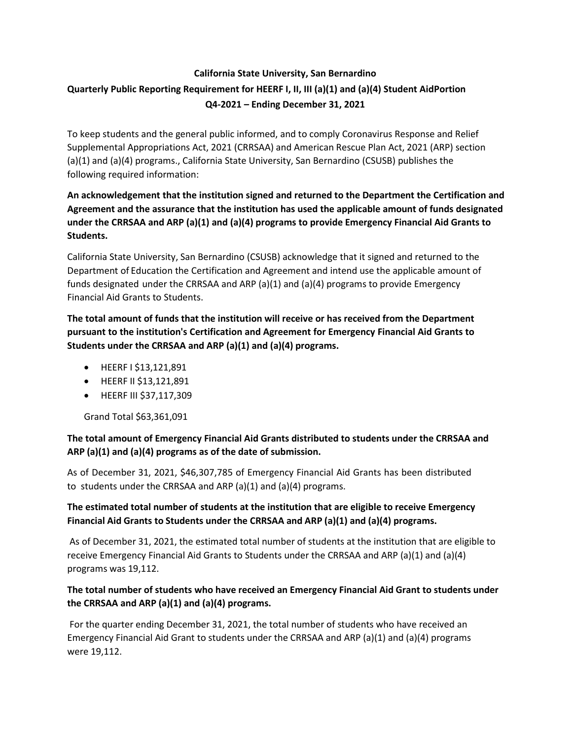# **California State University, San Bernardino Quarterly Public Reporting Requirement for HEERF I, II, III (a)(1) and (a)(4) Student AidPortion Q4-2021 – Ending December 31, 2021**

To keep students and the general public informed, and to comply Coronavirus Response and Relief Supplemental Appropriations Act, 2021 (CRRSAA) and American Rescue Plan Act, 2021 (ARP) section (a)(1) and (a)(4) programs., California State University, San Bernardino (CSUSB) publishes the following required information:

## **An acknowledgement that the institution signed and returned to the Department the Certification and Agreement and the assurance that the institution has used the applicable amount of funds designated under the CRRSAA and ARP (a)(1) and (a)(4) programs to provide Emergency Financial Aid Grants to Students.**

California State University, San Bernardino (CSUSB) acknowledge that it signed and returned to the Department of Education the Certification and Agreement and intend use the applicable amount of funds designated under the CRRSAA and ARP (a)(1) and (a)(4) programs to provide Emergency Financial Aid Grants to Students.

**The total amount of funds that the institution will receive or has received from the Department pursuant to the institution's Certification and Agreement for Emergency Financial Aid Grants to Students under the CRRSAA and ARP (a)(1) and (a)(4) programs.**

- HEERF I \$13,121,891
- HEERF II \$13,121,891
- HEERF III \$37,117,309

Grand Total \$63,361,091

### **The total amount of Emergency Financial Aid Grants distributed to students under the CRRSAA and ARP (a)(1) and (a)(4) programs as of the date of submission.**

As of December 31, 2021, \$46,307,785 of Emergency Financial Aid Grants has been distributed to students under the CRRSAA and ARP (a)(1) and (a)(4) programs.

## **The estimated total number of students at the institution that are eligible to receive Emergency Financial Aid Grants to Students under the CRRSAA and ARP (a)(1) and (a)(4) programs.**

As of December 31, 2021, the estimated total number of students at the institution that are eligible to receive Emergency Financial Aid Grants to Students under the CRRSAA and ARP (a)(1) and (a)(4) programs was 19,112.

### **The total number of students who have received an Emergency Financial Aid Grant to students under the CRRSAA and ARP (a)(1) and (a)(4) programs.**

For the quarter ending December 31, 2021, the total number of students who have received an Emergency Financial Aid Grant to students under the CRRSAA and ARP (a)(1) and (a)(4) programs were 19,112.